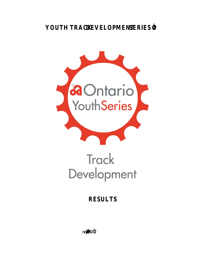# **SCRATCH RACE RESULTS**

|            | <b>RESULTS: A GRADE - Scratch Race</b> |                  |                                        |                 |                |  |  |  |  |  |
|------------|----------------------------------------|------------------|----------------------------------------|-----------------|----------------|--|--|--|--|--|
|            |                                        |                  | 2 km / 8 Laps                          |                 |                |  |  |  |  |  |
| <b>Bib</b> | <b>FIRST</b>                           |                  |                                        |                 |                |  |  |  |  |  |
| No.        | <b>NAME</b>                            | <b>LAST NAME</b> | <b>TEAM</b>                            | <b>CATEGORY</b> | <b>PLACE</b>   |  |  |  |  |  |
| 11         | Liam                                   | Langford         | <b>KW Cycling Academy</b>              | A Grade         | 1              |  |  |  |  |  |
| 2          | Carson                                 | Mattern          | NCCH pb Franklin Templeton Investments | A Grade         | $\overline{2}$ |  |  |  |  |  |
| 10         | Levi                                   | Ogryzlo          | Cyclepath Oakville Race Team           | A Grade         | 3              |  |  |  |  |  |
| 6          | Finlay                                 | MacEwen          | Attack Racing p/b Ardent Industries    | A Grade         | 4              |  |  |  |  |  |
| 7          | Gregory                                | Cuff             | NCCH pb Franklin Templeton Investments | A Grade         | 5              |  |  |  |  |  |
| 14         | Orian                                  | Falk-Dotan       | Attack Racing p/b Ardent Industries    | A Grade         | 6              |  |  |  |  |  |
| 5          | Evan                                   | Szemeczko        | Milton Revolution Cycling Club         | A Grade         | $\overline{7}$ |  |  |  |  |  |
| 4          | Ethan                                  | Belanger         | NCCH pb Franklin Templeton Investments | A Grade         | 8              |  |  |  |  |  |
| 17         | Wesley                                 | Hill             | <b>KW Cycling Academy</b>              | A Grade         | 9              |  |  |  |  |  |
| 12         | Michael                                | Leonard          | Racer Sportif / Mattamy Homes          | A Grade         | 10             |  |  |  |  |  |
| 8          | lan                                    | Reinke           | NCCH pb Franklin Templeton Investments | A Grade         | 11             |  |  |  |  |  |
| 15         | Owen                                   | Gill             | Madonna Wheelers Cycling Club          | A Grade         | 12             |  |  |  |  |  |
| 13         | <b>Nicholas</b>                        | Menegon          | NCCH pb Franklin Templeton Investments | A Grade         | 13             |  |  |  |  |  |
| 9          | Jack                                   | Sirman           | NCCH Elite pb MGCC                     | A Grade         | 14             |  |  |  |  |  |
| 3          | Charles                                | Bergeron         | NCCH pb Franklin Templeton Investments | A Grade         | 15             |  |  |  |  |  |
| 1          | Calum                                  | Sutherland       | Attack Racing p/b Ardent Industries    | A Grade         | 16             |  |  |  |  |  |
| 16         | Rich                                   | Elliott          | NCCH Elite pb MGCC                     | A Grade         | <b>DNS</b>     |  |  |  |  |  |

|            | <b>RESULTS: B GRADE - Scratch Race</b> |                    |                                                          |                 |                |  |  |  |  |  |
|------------|----------------------------------------|--------------------|----------------------------------------------------------|-----------------|----------------|--|--|--|--|--|
|            | 2 km / 8 Laps                          |                    |                                                          |                 |                |  |  |  |  |  |
| <b>Bib</b> | <b>FIRST</b>                           |                    |                                                          |                 |                |  |  |  |  |  |
| No.        | <b>NAME</b>                            | <b>LAST NAME</b>   | <b>TEAM</b>                                              | <b>CATEGORY</b> | <b>PLACE</b>   |  |  |  |  |  |
| 23         | Cole                                   | Dempster           | Midweek Cycling Club                                     | <b>B</b> Grade  | 1              |  |  |  |  |  |
| 56         | William                                | <b>Bibic</b>       | Midweek Cycling Club                                     | <b>B</b> Grade  | $\overline{2}$ |  |  |  |  |  |
| 32         | Natasha                                | <b>Badertscher</b> | NCCH pb Franklin Templeton Investments<br><b>B</b> Grade |                 | 3              |  |  |  |  |  |
| 33         | Nicole                                 | Bradbury           | NCCH pb Franklin Templeton Investments                   | <b>B</b> Grade  | 4              |  |  |  |  |  |
| 22         | Cohen                                  | Wood               | NCCH pb Franklin Templeton Investments                   | <b>B</b> Grade  | 5              |  |  |  |  |  |
| 28         | Luke                                   | Valenti            | Hardwood Next Wave Cycling Team                          | <b>B</b> Grade  | 6              |  |  |  |  |  |
| 25         | Emmannuel                              | Cheff              | Ottawa Bicycle Club                                      | <b>B</b> Grade  | $\overline{7}$ |  |  |  |  |  |
| 35         | Reilly                                 | Pargeter           | Attack Racing p/b Ardent Industries                      | <b>B</b> Grade  | 8              |  |  |  |  |  |
| 29         | Lewis                                  | Kopchak            | The Velo Shop<br><b>B</b> Grade                          |                 | 9              |  |  |  |  |  |
| 24         | Dylan                                  | <b>Baker</b>       | Attack Racing p/b Ardent Industries<br><b>B</b> Grade    |                 | 10             |  |  |  |  |  |
| 27         | Lucas                                  | Rauwerda           | NCCH pb Franklin Templeton Investments                   | <b>B</b> Grade  | 11             |  |  |  |  |  |
| 31         | Matthew                                | Whitehouse         | Milton Revolution Cycling Club                           | <b>B</b> Grade  | 12             |  |  |  |  |  |
| 18         | Aderyn                                 | Fraser             | Midweek Cycling Club                                     | <b>B</b> Grade  | 14             |  |  |  |  |  |
| 21         | Andrew                                 | Ellyatt            | Attack Racing p/b Ardent Industries                      | <b>B</b> Grade  | 15             |  |  |  |  |  |
| 19         | Alejandra                              | Elliott-Cordoba    | Neworld Cycle Team                                       | <b>B</b> Grade  | 16             |  |  |  |  |  |
| 20         | Andres                                 | Elliott-Cordoba    | Neworld Cycle Team                                       | <b>B</b> Grade  | 17             |  |  |  |  |  |
| 26         | Graham                                 | <b>Starrs</b>      | Attack Racing p/b Ardent Industries                      | <b>B</b> Grade  | 18             |  |  |  |  |  |
| 30         | Mathis                                 | Hamel              | Vélo Mauricie                                            | <b>B</b> Grade  | 19             |  |  |  |  |  |
| 34         | Nikita                                 | Neyshtadt          | NCCH pb Franklin Templeton Investments                   | <b>B</b> Grade  | 20             |  |  |  |  |  |
| 36         | Simon                                  | Hunter             | Milton Revolution Cycling Club                           | <b>B</b> Grade  | 21             |  |  |  |  |  |
| 37         | Will                                   | Austen             | Attack Racing p/b Ardent Industries                      | <b>B</b> Grade  | 22             |  |  |  |  |  |
| 38         | Yonatan                                | Neyshtadt          | NCCH pb Franklin Templeton Investments                   | <b>B</b> Grade  | 23             |  |  |  |  |  |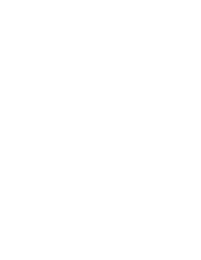|            | <b>RESULTS: C GRADE - Scratch Race</b> |                  |                                                                  |                 |              |  |  |  |  |  |
|------------|----------------------------------------|------------------|------------------------------------------------------------------|-----------------|--------------|--|--|--|--|--|
|            |                                        |                  | 2 km / 8 Laps                                                    |                 |              |  |  |  |  |  |
| <b>Bib</b> | <b>FIRST</b>                           |                  |                                                                  |                 |              |  |  |  |  |  |
| No.        | <b>NAME</b>                            | <b>LAST NAME</b> | <b>TEAM</b>                                                      | <b>CATEGORY</b> | <b>PLACE</b> |  |  |  |  |  |
| 52         | Mackenzie                              | Watson           | Midweek Cycling Club                                             | C Grade<br>1    |              |  |  |  |  |  |
| 42         | Benen                                  | MacEwen          | Attack Racing p/b Ardent Industries<br>$\overline{2}$<br>C Grade |                 |              |  |  |  |  |  |
| 45         | Conan                                  | Shing            | NCCH pb Franklin Templeton Investments                           | C Grade         | 3            |  |  |  |  |  |
| 53         | Nathan                                 | Martin           | NCCH pb Franklin Templeton Investments                           | C Grade         | 4            |  |  |  |  |  |
| 51         | Luca                                   | <b>Buhlmann</b>  | Independent<br>C Grade                                           |                 |              |  |  |  |  |  |
| 46         | Connor                                 | Hogan            | C Grade<br><b>KW Cycling Academy</b>                             |                 | 6            |  |  |  |  |  |
| 48         | Isabella                               | Stavropoulos     | NCCH pb Franklin Templeton Investments<br>C Grade                |                 | 7            |  |  |  |  |  |
| 43         | Caitlin                                | Serafino         | Milton Revolution Cycling Club<br>C Grade                        |                 | 8            |  |  |  |  |  |
| 49         | Jessica                                | Kaake            | Midweek Cycling Club                                             | C Grade         | 9            |  |  |  |  |  |
| 39         | Alex                                   | DePauw           | Attack Racing p/b Ardent Industries                              | C Grade         | 10           |  |  |  |  |  |
| 50         | Joshua                                 | Cooper           | Attack Racing p/b Ardent Industries                              | C Grade         | 11           |  |  |  |  |  |
| 54         | Simon                                  | Zouev            | Win Cycling Centre                                               | C Grade         | 12           |  |  |  |  |  |
| 47         | Emily                                  | Dodge            | <b>KW Cycling Academy</b>                                        | C Grade         | 13           |  |  |  |  |  |
| 41         | Ayden                                  | Ireland          | Attack Racing p/b Ardent Industries                              | C Grade         | 14           |  |  |  |  |  |
| 44         | Charlotte                              | Nelson           | Midweek Cycling Club                                             | C Grade         | 15           |  |  |  |  |  |
| 40         | Ariane                                 | Arsenault        | Les cuisses or de l'Outatouais                                   | C Grade         | 16           |  |  |  |  |  |
|            |                                        | Fiore -          |                                                                  |                 |              |  |  |  |  |  |
| 55         | Stefano                                | Seganfreddo      | NCCH pb Franklin Templeton Investments                           | C Grade         | <b>DNS</b>   |  |  |  |  |  |

|            | <b>RESULTS: D GRADE - Scratch Race</b> |                  |                                        |                 |               |  |  |  |  |  |
|------------|----------------------------------------|------------------|----------------------------------------|-----------------|---------------|--|--|--|--|--|
|            |                                        |                  | 2 km / 8 Laps                          |                 |               |  |  |  |  |  |
| <b>Bib</b> | <b>FIRST</b>                           |                  |                                        |                 |               |  |  |  |  |  |
| No.        | <b>NAME</b>                            | <b>LAST NAME</b> | <b>TEAM</b>                            | <b>CATEGORY</b> | <b>PLACE</b>  |  |  |  |  |  |
| 58         | Alexandra                              | Fangeat          | Attack Racing p/b Ardent Industries    | D Grade         | 1             |  |  |  |  |  |
| 57         | Alex                                   | Depew            | NCCH pb Franklin Templeton Investments | D Grade         | $\mathcal{P}$ |  |  |  |  |  |
| 73         | Yazmin                                 | Purdon           | NCCH pb Franklin Templeton Investments | D Grade         | 3             |  |  |  |  |  |
| 60         | <b>Brody</b>                           | Mann             | Attack Racing p/b Ardent Industries    | D Grade         | 4             |  |  |  |  |  |
| 63         | Denis                                  | <b>Berthelot</b> | Ottawa Bicycle Club                    | D Grade         | 5             |  |  |  |  |  |
| 59         | Antoine                                | Bergeron         | NCCH pb Franklin Templeton Investments | D Grade         | 6             |  |  |  |  |  |
| 72         | Sophie                                 | Bradbury         | NCCH pb Franklin Templeton Investments | D Grade         | 7             |  |  |  |  |  |
| 69         | Lucas                                  | Goertz           | <b>KW Cycling Academy</b>              | D Grade         | 8             |  |  |  |  |  |
| 65         | Escher                                 | White            | Attack Racing p/b Ardent Industries    | D Grade         | 9             |  |  |  |  |  |
| 68         | Jessica                                | <b>Atkins</b>    | West of Quebec Wheelers                | D Grade         | 10            |  |  |  |  |  |
| 64         | Emily                                  | Richer           | NCCH pb Franklin Templeton Investments | D Grade         | 11            |  |  |  |  |  |
| 62         | Cyrena                                 | Hill             | <b>KW Cycling Academy</b>              | D Grade         | 12            |  |  |  |  |  |
| 66         | Isabella                               | <b>Nie</b>       | NCCH pb Franklin Templeton Investments | D Grade         | 13            |  |  |  |  |  |
| 71         | Samantha                               | Fangeat          | Attack Racing p/b Ardent Industries    | D Grade         | 14            |  |  |  |  |  |
| 67         | Jared                                  | Rauwerda         | NCCH pb Franklin Templeton Investments | D Grade         | 15            |  |  |  |  |  |
| 70         | Robbie                                 | McAfee           | Attack Racing p/b Ardent Industries    | D Grade         | 16            |  |  |  |  |  |
| 61         | Coryn                                  | <b>Baker</b>     | Attack Racing p/b Ardent Industries    | D Grade         | 17            |  |  |  |  |  |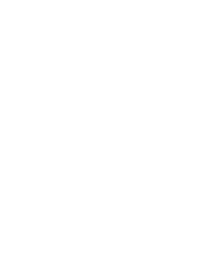|            | <b>RESULTS: E GRADE - Scratch Race</b> |                  |                                        |                 |              |  |  |  |
|------------|----------------------------------------|------------------|----------------------------------------|-----------------|--------------|--|--|--|
|            | 1.5 KM / 6 Laps                        |                  |                                        |                 |              |  |  |  |
| <b>Bib</b> | <b>FIRST</b>                           |                  |                                        |                 |              |  |  |  |
| No.        | <b>NAME</b>                            | <b>LAST NAME</b> | <b>TEAM</b>                            | <b>CATEGORY</b> | <b>PLACE</b> |  |  |  |
| 74         | Cole                                   | DePauw           | Attack Racing p/b Ardent Industries    | E Grade         |              |  |  |  |
| 77         | <b>Thomas</b>                          | Fangeat          | Attack Racing p/b Ardent Industries    | E Grade         |              |  |  |  |
| 76         | Sara                                   | Reinke           | NCCH pb Franklin Templeton Investments | E Grade         | 3            |  |  |  |
| 75.        | Jake                                   | McLean           | <b>KW Cycling Academy</b>              | E Grade         | 4            |  |  |  |

# **ELIMINATION RACE RESULTS**

|            | <b>RESULTS: A GRADE - Elimination Race</b> |                  |                                        |                 |              |  |  |  |  |  |
|------------|--------------------------------------------|------------------|----------------------------------------|-----------------|--------------|--|--|--|--|--|
|            |                                            |                  |                                        |                 |              |  |  |  |  |  |
| <b>Bib</b> |                                            |                  |                                        |                 |              |  |  |  |  |  |
| No.        | <b>FIRST NAME</b>                          | <b>LAST NAME</b> | <b>TEAM</b>                            | <b>CATEGORY</b> | <b>PLACE</b> |  |  |  |  |  |
| 2          | Carson                                     | Mattern          | NCCH pb Franklin Templeton Investments | A Grade         | 1            |  |  |  |  |  |
| 12         | Michael                                    | Leonard          | Racer Sportif / Mattamy Homes          | A Grade         | 2            |  |  |  |  |  |
| 11         | Liam                                       | Langford         | <b>KW Cycling Academy</b>              | A Grade         | 3            |  |  |  |  |  |
| 17         | Wesley                                     | Hill             | <b>KW Cycling Academy</b>              | A Grade         | 4            |  |  |  |  |  |
| 7          | Gregory                                    | Cuff             | NCCH pb Franklin Templeton Investments | A Grade         | 5            |  |  |  |  |  |
| 9          | Jack                                       | Sirman           | NCCH Elite pb MGCC                     | A Grade         | 6            |  |  |  |  |  |
| 5          | Evan                                       | Szemeczko        | Milton Revolution Cycling Club         | A Grade         | 7            |  |  |  |  |  |
| 4          | Ethan                                      | Belanger         | NCCH pb Franklin Templeton Investments | A Grade         | 8            |  |  |  |  |  |
| 15         | Owen                                       | Gill             | Madonna Wheelers Cycling Club          | A Grade         | 9            |  |  |  |  |  |
| 10         | Levi                                       | Ogryzlo          | Cyclepath Oakville Race Team           | A Grade         | 10           |  |  |  |  |  |
| 6          | Finlay                                     | MacEwen          | Attack Racing p/b Ardent Industries    | A Grade         | 11           |  |  |  |  |  |
| 13         | Nicholas                                   | Menegon          | NCCH pb Franklin Templeton Investments | A Grade         | 12           |  |  |  |  |  |
| 3          | Charles                                    | Bergeron         | NCCH pb Franklin Templeton Investments | A Grade         | 13           |  |  |  |  |  |
| 8          | lan                                        | Reinke           | NCCH pb Franklin Templeton Investments | A Grade         | 14           |  |  |  |  |  |
| 1          | Calum                                      | Sutherland       | Attack Racing p/b Ardent Industries    | A Grade         | 15           |  |  |  |  |  |
| 14         | Orian                                      | Falk-Dotan       | Attack Racing p/b Ardent Industries    | A Grade         | 16           |  |  |  |  |  |
| 16         | Rich                                       | Elliott          | NCCH Elite pb MGCC                     | A Grade         | <b>DNS</b>   |  |  |  |  |  |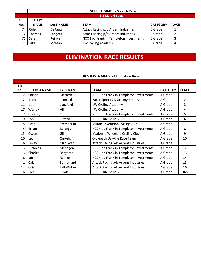|            |                   |                  | <b>RESULTS: B GRADE - Elimination Race</b> |                 |                |  |
|------------|-------------------|------------------|--------------------------------------------|-----------------|----------------|--|
|            |                   |                  |                                            |                 |                |  |
| <b>BIB</b> |                   |                  |                                            |                 |                |  |
| NO.        | <b>First Name</b> | <b>Last Name</b> | <b>TEAM</b>                                | <b>CATEGORY</b> | <b>PLACE</b>   |  |
| 33         | Nicole            | Bradbury         | NCCH pb Franklin Templeton Investments     | <b>B</b> Grade  | 1              |  |
| 32         | Natasha           | Badertscher      | NCCH pb Franklin Templeton Investments     | <b>B</b> Grade  | $\overline{2}$ |  |
| 25         | Emmannuel         | Cheff            | Ottawa Bicycle Club                        | <b>B</b> Grade  | 3              |  |
| 21         | Andrew            | Ellyatt          | Attack Racing p/b Ardent Industries        | <b>B</b> Grade  | 4              |  |
| 19         | Alejandra         | Elliott-Cordoba  | Neworld Cycle Team                         | <b>B</b> Grade  | 5              |  |
| 34         | Nikita            | Neyshtadt        | NCCH pb Franklin Templeton Investments     | <b>B</b> Grade  | 6              |  |
| 31         | Matthew           | Whitehouse       | Milton Revolution Cycling Club             | <b>B</b> Grade  | $\overline{7}$ |  |
| 27         | Lucas             | Rauwerda         | NCCH pb Franklin Templeton Investments     | <b>B</b> Grade  | 8              |  |
| 26         | Graham            | <b>Starrs</b>    | Attack Racing p/b Ardent Industries        | <b>B</b> Grade  | 9              |  |
| 30         | Mathis            | Hamel            | Vélo Mauricie                              | <b>B</b> Grade  | 10             |  |
| 38         | Yonatan           | Neyshtadt        | NCCH pb Franklin Templeton Investments     | <b>B</b> Grade  | 11             |  |
| 28         | Luke              | Valenti          | Hardwood Next Wave Cycling Team            | <b>B</b> Grade  | 12             |  |
| 24         | Dylan             | <b>Baker</b>     | Attack Racing p/b Ardent Industries        | <b>B</b> Grade  | 13             |  |
| 23         | Cole              | Dempster         | Midweek Cycling Club                       | <b>B</b> Grade  | 14             |  |
| 22         | Cohen             | Wood             | NCCH pb Franklin Templeton Investments     | <b>B</b> Grade  | 15             |  |
| 36         | Simon             | Hunter           | Milton Revolution Cycling Club             | <b>B</b> Grade  | 16             |  |
| 29         | Lewis             | Kopchak          | The Velo Shop                              | <b>B</b> Grade  | 17             |  |
| 20         | Andres            | Elliott-Cordoba  | Neworld Cycle Team                         | <b>B</b> Grade  | 18             |  |
| 35         | Reilly            | Pargeter         | Attack Racing p/b Ardent Industries        | <b>B</b> Grade  | 19             |  |
| 37         | Will              | Austen           | Attack Racing p/b Ardent Industries        | <b>B</b> Grade  | 20             |  |
| 56         | William           | <b>Bibic</b>     | Midweek Cycling Club                       | <b>B</b> Grade  | 21             |  |
| 18         | Aderyn            | Fraser           | Midweek Cycling Club                       | <b>B</b> Grade  | 22             |  |

|            | <b>RESULTS: C GRADE - Elimination Race</b> |                  |                                        |                 |                |  |  |  |  |  |
|------------|--------------------------------------------|------------------|----------------------------------------|-----------------|----------------|--|--|--|--|--|
|            |                                            |                  |                                        |                 |                |  |  |  |  |  |
| <b>BIB</b> |                                            |                  |                                        |                 |                |  |  |  |  |  |
| NO.        | <b>First Name</b>                          | <b>Last Name</b> | <b>TEAM</b>                            | <b>CATEGORY</b> | <b>PLACE</b>   |  |  |  |  |  |
| 42         | Benen                                      | MacEwen          | Attack Racing p/b Ardent Industries    | C Grade         | 1              |  |  |  |  |  |
| 45         | Conan                                      | <b>Shing</b>     | NCCH pb Franklin Templeton Investments | C Grade         | $\overline{2}$ |  |  |  |  |  |
| 51         | Luca                                       | <b>Buhlmann</b>  | Independent                            | C Grade         | 3              |  |  |  |  |  |
| 52         | Mackenzie                                  | Watson           | Midweek Cycling Club                   | C Grade         | 4              |  |  |  |  |  |
| 48         | Isabella                                   | Stavropoulos     | NCCH pb Franklin Templeton Investments | C Grade         | 5              |  |  |  |  |  |
| 50         | Joshua                                     | Cooper           | Attack Racing p/b Ardent Industries    | C Grade         | 6              |  |  |  |  |  |
| 46         | Connor                                     | Hogan            | <b>KW Cycling Academy</b>              | C Grade         | 7              |  |  |  |  |  |
| 44         | Charlotte                                  | Nelson           | Midweek Cycling Club                   | C Grade         | 8              |  |  |  |  |  |
| 54         | Simon                                      | Zouev            | Win Cycling Centre                     | C Grade         | 9              |  |  |  |  |  |
| 43         | Caitlin                                    | Serafino         | Milton Revolution Cycling Club         | C Grade         | 10             |  |  |  |  |  |
| 40         | Ariane                                     | Arsenault        | Les cuisses or de l'Outatouais         | C Grade         | 11             |  |  |  |  |  |
| 49         | Jessica                                    | Kaake            | Midweek Cycling Club                   | C Grade         | 12             |  |  |  |  |  |
| 39         | Alex                                       | DePauw           | Attack Racing p/b Ardent Industries    | C Grade         | 13             |  |  |  |  |  |
| 53         | Nathan                                     | Martin           | NCCH pb Franklin Templeton Investments | C Grade         | 14             |  |  |  |  |  |
| 41         | Ayden                                      | Ireland          | Attack Racing p/b Ardent Industries    | C Grade         | 15             |  |  |  |  |  |
| 47         | Emily                                      | Dodge            | <b>KW Cycling Academy</b>              | C Grade         | 16             |  |  |  |  |  |
|            |                                            | Fiore -          |                                        |                 |                |  |  |  |  |  |
| 55         | Stefano                                    | Seganfreddo      | NCCH pb Franklin Templeton Investments | C Grade         | <b>DNS</b>     |  |  |  |  |  |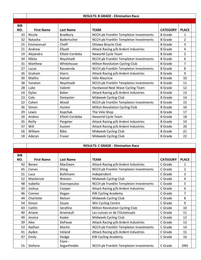|            |                   |                  | <b>RESULTS: D GRADE - Elimination Race</b> |                 |                |
|------------|-------------------|------------------|--------------------------------------------|-----------------|----------------|
|            |                   |                  |                                            |                 |                |
| <b>BIB</b> |                   |                  |                                            |                 |                |
| NO.        | <b>First Name</b> | <b>Last Name</b> | <b>TEAM</b>                                | <b>CATEGORY</b> | <b>PLACE</b>   |
| 59         | Antoine           | Bergeron         | NCCH pb Franklin Templeton Investments     | D Grade         | 1              |
| 67         | Jared             | Rauwerda         | NCCH pb Franklin Templeton Investments     | D Grade         | $\overline{2}$ |
| 58         | Alexandra         | Fangeat          | Attack Racing p/b Ardent Industries        | D Grade         | 3              |
| 68         | Jessica           | <b>Atkins</b>    | West of Quebec Wheelers                    | D Grade         | 4              |
| 64         | Emily             | Richer           | NCCH pb Franklin Templeton Investments     | D Grade         | 5              |
| 72         | Sophie            | Bradbury         | NCCH pb Franklin Templeton Investments     | D Grade         | 6              |
| 57         | Alex              | Depew            | NCCH pb Franklin Templeton Investments     | D Grade         | 7              |
| 60         | <b>Brody</b>      | Mann             | Attack Racing p/b Ardent Industries        | D Grade         | 8              |
| 63         | Denis             | <b>Berthelot</b> | Ottawa Bicycle Club                        | D Grade         | 9              |
| 61         | Coryn             | <b>Baker</b>     | Attack Racing p/b Ardent Industries        | D Grade         | 10             |
| 69         | Lucas             | Goertz           | <b>KW Cycling Academy</b>                  | D Grade         | 11             |
| 65         | Escher            | White            | Attack Racing p/b Ardent Industries        | D Grade         | 12             |
| 62         | Cyrena            | Hill             | <b>KW Cycling Academy</b>                  | D Grade         | 13             |
| 71         | Samantha          | Fangeat          | Attack Racing p/b Ardent Industries        | D Grade         | 14             |
| 70         | Robbie            | McAfee           | Attack Racing p/b Ardent Industries        | D Grade         | 15             |
| 66         | Isabella          | <b>Nie</b>       | NCCH pb Franklin Templeton Investments     | D Grade         | 16             |
| 73         | Yazmin            | Purdon           | NCCH pb Franklin Templeton Investments     | D Grade         | <b>DNF</b>     |

### **E GRADE MATCH SPRINT RESULTS**

#### **E Grade - Heat 1 Match Sprint Results**

| BIB# | <b>First Name</b> | <b>Last Name</b> | Category | Club                                | <b>Time</b> | Place |  |
|------|-------------------|------------------|----------|-------------------------------------|-------------|-------|--|
| 74   | Cole              | DePauw           | E Grade  | Attack Racing p/b Ardent Industries | 18.9        |       |  |
| 75   | Jake              | McLean           | E Grade  | <b>KW Cycling Academy</b>           |             |       |  |

|      | <b>E Grade - Heat 2 Match Sprint Results</b> |                  |          |                                        |       |       |  |  |  |
|------|----------------------------------------------|------------------|----------|----------------------------------------|-------|-------|--|--|--|
|      |                                              |                  |          |                                        |       |       |  |  |  |
| BIB# | <b>First Name</b>                            | <b>Last Name</b> | Category | Club                                   | Time  | Place |  |  |  |
| 76   | Sara                                         | Reinke           | E Grade  | NCCH pb Franklin Templeton Investments | 17.77 |       |  |  |  |
| 77   | <b>Thomas</b>                                | Fangeat          | E Grade  | Attack Racing p/b Ardent Industries    |       |       |  |  |  |

|      | <b>E Grade - B Final Match Sprint Results</b> |                  |          |                                     |             |       |  |  |  |
|------|-----------------------------------------------|------------------|----------|-------------------------------------|-------------|-------|--|--|--|
|      |                                               |                  |          |                                     |             |       |  |  |  |
| BIB# | <b>First Name</b>                             | <b>Last Name</b> | Category | Club                                | <b>Time</b> | Place |  |  |  |
| 75   | Jake                                          | McLean           | E Grade  | <b>KW Cycling Academy</b>           | 19.44       |       |  |  |  |
| 77   | Thomas                                        | Fangeat          | E Grade  | Attack Racing p/b Ardent Industries |             |       |  |  |  |

|                  | <b>E Grade - Final Match Sprint Results</b> |                  |          |                                        |             |       |  |  |  |  |  |
|------------------|---------------------------------------------|------------------|----------|----------------------------------------|-------------|-------|--|--|--|--|--|
|                  |                                             |                  |          |                                        |             |       |  |  |  |  |  |
| BIB <sub>#</sub> | <b>First Name</b>                           | <b>Last Name</b> | Category | <b>Club</b>                            | <b>Time</b> | Place |  |  |  |  |  |
| 74               | Cole                                        | DePauw           | E Grade  | Attack Racing p/b Ardent Industries    | 17.4        |       |  |  |  |  |  |
| 76               | Sara                                        | Reinke           | E Grade  | NCCH pb Franklin Templeton Investments |             |       |  |  |  |  |  |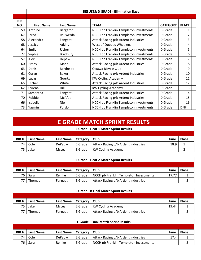# **POINTS RACE RESULTS**

|                   |                   |                  |                                | <b>RESULTS: A GRADE - POINTS RACE</b> |                               |                               |                    |           |               |                         |                |
|-------------------|-------------------|------------------|--------------------------------|---------------------------------------|-------------------------------|-------------------------------|--------------------|-----------|---------------|-------------------------|----------------|
|                   |                   |                  |                                | 7.5 KM / 30 Laps                      |                               |                               |                    |           |               |                         |                |
| <b>BIB</b><br>NO. | <b>FIRST NAME</b> | <b>LAST NAME</b> | <b>TEAM</b>                    | <b>CATEGORY</b>                       | <b>SPRINT</b><br>$\mathbf{1}$ | <b>SPRINT</b><br>$\mathbf{2}$ | <b>SPRINT</b><br>3 | $lap +/-$ | <b>POINTS</b> | <b>FINISH</b>           | <b>PLACE</b>   |
|                   |                   |                  | <b>KW Cycling</b>              |                                       |                               |                               |                    |           |               |                         |                |
| 11                | Liam              | Langford         | Academy                        | A Grade                               |                               | $\mathbf{1}$                  | 10                 |           | 11            | 1                       | $\mathbf{1}$   |
|                   |                   |                  | Cyclepath Oakville             |                                       |                               |                               |                    |           |               |                         |                |
| 10                | Levi              | Ogryzlo          | Race Team                      | A Grade                               |                               | $\overline{2}$                | 6                  |           | 8             | $\mathbf{2}$            | $\overline{2}$ |
|                   |                   |                  | NCCH Elite pb                  |                                       |                               |                               |                    |           |               |                         |                |
| 9                 | Jack              | Sirman           | MGCC                           | A Grade                               |                               | 5                             |                    |           | 5             | 10                      | $\mathbf{3}$   |
|                   |                   |                  | NCCH pb Franklin               |                                       |                               |                               |                    |           |               |                         |                |
| 8                 | lan               | Reinke           | Templeton<br>Investments       | A Grade                               | 5                             |                               |                    |           | 5             | 14                      | $\overline{4}$ |
|                   |                   |                  | Attack Racing p/b              |                                       |                               |                               |                    |           |               |                         |                |
| 6                 | Finlay            | MacEwen          | Ardent Industries              | A Grade                               |                               |                               | $\overline{a}$     |           | 4             | 3                       | 5              |
|                   |                   |                  | NCCH pb Franklin               |                                       |                               |                               |                    |           |               |                         |                |
|                   |                   |                  | Templeton                      |                                       |                               |                               |                    |           |               |                         |                |
| $\overline{7}$    | Gregory           | Cuff             | Investments                    | A Grade                               | $\overline{2}$                |                               | $\overline{2}$     |           | 4             | 4                       | 6              |
|                   |                   |                  | Attack Racing p/b              |                                       |                               |                               |                    |           |               |                         |                |
| 14                | Orian             | Falk-Dotan       | Ardent Industries              | A Grade                               | $\mathbf{3}$                  |                               |                    |           | 3             | 9                       | $\overline{7}$ |
|                   |                   |                  | Attack Racing p/b              |                                       |                               |                               |                    |           |               |                         |                |
| $\mathbf{1}$      | Calum             | Sutherland       | Ardent Industries              | A Grade                               |                               | 3                             |                    |           | 3             | 12                      | 8              |
|                   |                   |                  | NCCH pb Franklin               |                                       |                               |                               |                    |           |               |                         |                |
|                   |                   |                  | Templeton                      |                                       |                               |                               |                    |           |               |                         |                |
| $\overline{2}$    | Carson            | Mattern          | Investments                    | A Grade                               |                               |                               |                    |           | 0             | 5                       | 9              |
|                   |                   |                  | NCCH pb Franklin               |                                       |                               |                               |                    |           |               |                         |                |
|                   |                   |                  | Templeton                      |                                       |                               |                               |                    |           |               | 6                       |                |
| 3                 | Charles           | Bergeron         | Investments<br>Racer Sportif / | A Grade                               |                               |                               |                    |           | $\mathbf 0$   |                         | 10             |
| 12                | Michael           | Leonard          | <b>Mattamy Homes</b>           | A Grade                               |                               |                               |                    |           | $\mathbf 0$   | $\overline{\mathbf{z}}$ | 11             |
|                   |                   |                  | <b>KW Cycling</b>              |                                       |                               |                               |                    |           |               |                         |                |
| 17                | Wesley            | Hill             | Academy                        | A Grade                               |                               |                               |                    |           | 0             | 8                       | 12             |
|                   |                   |                  | NCCH pb Franklin               |                                       |                               |                               |                    |           |               |                         |                |
|                   |                   |                  | Templeton                      |                                       |                               |                               |                    |           |               |                         |                |
| 4                 | Ethan             | Belanger         | Investments                    | A Grade                               |                               |                               |                    |           | $\mathbf 0$   | 11                      | 13             |
|                   |                   |                  | NCCH pb Franklin               |                                       |                               |                               |                    |           |               |                         |                |
|                   |                   |                  | Templeton                      |                                       |                               |                               |                    |           |               |                         |                |
| 13                | Nicholas          | Menegon          | Investments                    | A Grade                               |                               |                               |                    |           | 0             | 13                      | 14             |
|                   |                   |                  | <b>Milton Revolution</b>       |                                       |                               |                               |                    |           |               |                         |                |
| 5                 | Evan              | Szemeczko        | <b>Cycling Club</b>            | A Grade                               | $\mathbf{1}$                  |                               |                    | $-10$     | $\textbf{-9}$ | 15                      | 15             |
|                   |                   |                  | Madonna Wheelers               |                                       |                               |                               |                    |           |               |                         |                |
| 15                | Owen              | Gill             | <b>Cycling Club</b>            | A Grade                               |                               |                               |                    |           | 0             | <b>DNS</b>              | <b>DNS</b>     |
|                   |                   |                  | NCCH Elite pb                  |                                       |                               |                               |                    |           |               |                         |                |
| 16                | Rich              | Elliott          | MGCC                           | A Grade                               |                               |                               |                    |           | 0             | <b>DNS</b>              | <b>DNS</b>     |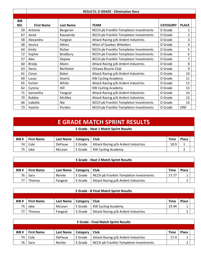|            |                   |                  |                                        | <b>RESULTS: B GRADE - POINTS RACE</b> |                |                |             |                     |                         |                         |  |
|------------|-------------------|------------------|----------------------------------------|---------------------------------------|----------------|----------------|-------------|---------------------|-------------------------|-------------------------|--|
|            |                   |                  |                                        |                                       | 5 KM / 20 Laps |                |             |                     |                         |                         |  |
| <b>BIB</b> |                   |                  |                                        |                                       | <b>SPRINT</b>  | <b>SPRINT</b>  |             |                     |                         |                         |  |
| NO.        | <b>FIRST NAME</b> | <b>LAST NAME</b> | <b>TEAM</b>                            | <b>CATEGORY</b>                       | $\mathbf{1}$   | 2              | $lap + / -$ | <b>POINTS</b>       | <b>FINISH</b>           | <b>PLACE</b>            |  |
|            |                   |                  | Milton Revolution                      |                                       |                |                |             |                     |                         |                         |  |
| 31         | Matthew           | Whitehouse       | Cycling Club                           | <b>B</b> Grade                        |                | 10             |             | 10                  | $\mathbf{1}$            | $\mathbf{1}$            |  |
|            |                   |                  | Midweek Cycling                        |                                       |                |                |             |                     |                         |                         |  |
| 23         | Cole              | Dempster         | Club                                   | <b>B</b> Grade                        | $\mathbf{1}$   | 6              |             | $\overline{7}$      | $\mathbf{2}$            | $\mathbf{2}$            |  |
| 30         | Mathis            | Hamel            | Vélo Mauricie                          | <b>B</b> Grade                        | 5              |                |             | 5                   |                         | 3                       |  |
|            |                   |                  | Hardwood Next                          |                                       |                |                |             |                     |                         |                         |  |
| 28         | Luke              | Valenti          | Wave Cycling Team                      | <b>B</b> Grade                        |                | 4              |             | $\overline{4}$      | 3                       | 4                       |  |
| 37         | Will              | Austen           | Attack Racing p/b<br>Ardent Industries | <b>B</b> Grade                        | 3              |                |             | 3                   |                         | 5                       |  |
|            |                   |                  | NCCH pb Franklin                       |                                       |                |                |             |                     |                         |                         |  |
|            |                   |                  | Templeton                              |                                       |                |                |             |                     |                         |                         |  |
| 32         | Natasha           | Badertscher      | Investments                            | <b>B</b> Grade                        |                | $\overline{2}$ |             | $\overline{2}$      | 4                       | 6                       |  |
| 25         | Emmannuel         | Cheff            | Ottawa Bicycle Club                    | <b>B</b> Grade                        | $\overline{2}$ |                |             | $\overline{2}$      |                         | $\overline{\mathbf{z}}$ |  |
|            |                   |                  | NCCH pb Franklin                       |                                       |                |                |             |                     |                         |                         |  |
|            |                   |                  | Templeton                              |                                       |                |                |             |                     |                         |                         |  |
| 38         | Yonatan           | Neyshtadt        | Investments                            | <b>B</b> Grade                        |                |                |             | 0                   | 5                       | 8                       |  |
|            |                   |                  | Attack Racing p/b                      |                                       |                |                |             |                     |                         |                         |  |
| 35         | Reilly            | Pargeter         | Ardent Industries                      | <b>B</b> Grade                        |                |                |             | $\pmb{0}$           | 6                       | 9                       |  |
|            |                   |                  | Attack Racing p/b                      |                                       |                |                |             |                     |                         |                         |  |
| 21         | Andrew            | Ellyatt          | Ardent Industries                      | <b>B</b> Grade                        |                |                |             | $\mathbf 0$         | $\overline{\mathbf{z}}$ | 10                      |  |
|            |                   |                  | NCCH pb Franklin                       |                                       |                |                |             |                     |                         |                         |  |
|            |                   |                  | Templeton                              |                                       |                |                |             |                     |                         |                         |  |
| 22         | Cohen             | Wood             | Investments                            | <b>B</b> Grade                        |                |                |             | 0                   | 8                       | 11                      |  |
|            |                   |                  | Milton Revolution                      |                                       |                |                |             |                     |                         |                         |  |
| 36         | Simon             | Hunter           | <b>Cycling Club</b>                    | <b>B</b> Grade                        |                |                |             | $\mathsf{O}\xspace$ | <b>DNF</b>              | <b>DNF</b>              |  |
| 18         | Aderyn            | Fraser           | Midweek Cycling<br>Club                | <b>B</b> Grade                        |                |                |             | $\mathsf{O}\xspace$ |                         |                         |  |
|            |                   |                  | Neworld Cycle                          |                                       |                |                |             |                     |                         |                         |  |
| 19         | Alejandra         | Elliott-Cordoba  | Team                                   | <b>B</b> Grade                        |                |                |             | 0                   |                         |                         |  |
|            |                   |                  | Neworld Cycle                          |                                       |                |                |             |                     |                         |                         |  |
| 20         | Andres            | Elliott-Cordoba  | Team                                   | <b>B</b> Grade                        |                |                |             | $\mathsf{O}\xspace$ |                         |                         |  |
|            |                   |                  | Attack Racing p/b                      |                                       |                |                |             |                     |                         |                         |  |
| 24         | Dylan             | Baker            | Ardent Industries                      | <b>B</b> Grade                        |                |                | $-10$       | $-10$               |                         |                         |  |
|            |                   |                  | Attack Racing p/b                      |                                       |                |                |             |                     |                         |                         |  |
| 26         | Graham            | <b>Starrs</b>    | Ardent Industries                      | <b>B</b> Grade                        |                |                |             | $\mathbf 0$         |                         |                         |  |
|            |                   |                  | NCCH pb Franklin                       |                                       |                |                |             |                     |                         |                         |  |
|            |                   |                  | Templeton                              |                                       |                |                |             |                     |                         |                         |  |
| 27         | Lucas             | Rauwerda         | Investments                            | <b>B</b> Grade                        |                |                |             | $\pmb{0}$           |                         |                         |  |
| 29         | Lewis             | Kopchak          | The Velo Shop                          | <b>B</b> Grade                        |                |                |             | 0                   |                         |                         |  |
|            |                   |                  | NCCH pb Franklin                       |                                       |                |                |             |                     |                         |                         |  |
|            |                   |                  | Templeton                              |                                       |                |                |             |                     |                         |                         |  |
| 33         | Nicole            | Bradbury         | Investments                            | <b>B</b> Grade                        |                |                |             | 0                   |                         |                         |  |
|            |                   |                  | NCCH pb Franklin<br>Templeton          |                                       |                |                |             |                     |                         |                         |  |
| 34         | Nikita            | Neyshtadt        | Investments                            | <b>B</b> Grade                        |                |                |             | 0                   |                         |                         |  |
|            |                   |                  | Midweek Cycling                        |                                       |                |                |             |                     |                         |                         |  |
| 56         | William           | Bibic            | Club                                   | <b>B</b> Grade                        |                |                |             | 0                   |                         |                         |  |
|            |                   |                  |                                        |                                       |                |                |             |                     |                         |                         |  |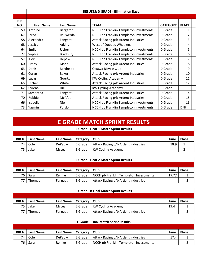|            |                   |                  |                         | <b>RESULTS: C GRADE - POINTS RACE</b> |                |                |           |                     |               |                         |  |
|------------|-------------------|------------------|-------------------------|---------------------------------------|----------------|----------------|-----------|---------------------|---------------|-------------------------|--|
|            |                   |                  |                         |                                       | 5 KM / 20 Laps |                |           |                     |               |                         |  |
| <b>BIB</b> |                   |                  |                         |                                       | <b>SPRINT</b>  | <b>SPRINT</b>  |           |                     |               |                         |  |
| NO.        | <b>FIRST NAME</b> | <b>LAST NAME</b> | <b>TEAM</b>             | <b>CATEGORY</b>                       | 1              | $\mathbf{2}$   | $lap +/-$ | <b>POINTS</b>       | <b>FINISH</b> | <b>PLACE</b>            |  |
| 51         | Luca              | Buhlmann         | Independent             | C Grade                               | 5              | 10             |           | 15                  | $\mathbf{1}$  | $\mathbf{1}$            |  |
|            |                   |                  | <b>KW Cycling</b>       |                                       |                |                |           |                     |               |                         |  |
| 47         | Emily             | Dodge            | Academy                 | C Grade                               | $\overline{2}$ | 6              |           | 8                   | 2             | $\mathbf{2}$            |  |
|            |                   |                  | <b>NCCH pb Franklin</b> |                                       |                |                |           |                     |               |                         |  |
|            |                   |                  | Templeton               |                                       |                |                |           |                     |               |                         |  |
| 53         | Nathan            | Martin           | Investments             | C Grade                               | $\mathbf{1}$   | 4              |           | 5                   | 3             | 3                       |  |
|            |                   |                  | NCCH pb Franklin        |                                       |                |                |           |                     |               |                         |  |
|            |                   |                  | Templeton               |                                       |                |                |           |                     |               |                         |  |
| 45         | Conan             | Shing            | Investments             | C Grade                               | 3              |                |           | 3                   | 5             | 4                       |  |
|            |                   |                  | Midweek Cycling         |                                       |                |                |           |                     |               |                         |  |
| 52         | Mackenzie         | Watson           | Club                    | C Grade                               |                | $\overline{2}$ |           | $\overline{2}$      | 4             | 5                       |  |
|            |                   |                  | Midweek Cycling         |                                       |                |                |           |                     |               |                         |  |
| 49         | Jessica           | Kaake            | Club                    | C Grade                               |                |                |           | 0                   | 7             | 6                       |  |
| 54         | Simon             | Zouev            | Win Cycling Centre      | C Grade                               |                |                |           | $\mathbf 0$         | 8             | $\overline{\mathbf{z}}$ |  |
|            |                   |                  | NCCH pb Franklin        |                                       |                |                |           |                     |               |                         |  |
|            |                   |                  | Templeton               |                                       |                |                |           |                     |               |                         |  |
| 48         | Isabella          | Stavropoulos     | Investments             | C Grade                               |                |                |           | $\mathsf{O}\xspace$ | 9             | 8                       |  |
|            |                   |                  | Attack Racing p/b       |                                       |                |                |           |                     |               |                         |  |
| 42         | Benen             | MacEwen          | Ardent Industries       | C Grade                               |                |                |           | $\mathbf 0$         | 11            | 9                       |  |
|            |                   |                  | Attack Racing p/b       |                                       |                |                |           |                     |               |                         |  |
| 50         | Joshua            | Cooper           | Ardent Industries       | C Grade                               |                |                |           | 0                   | 12            | 10                      |  |
|            |                   |                  | Les cuisses or de       |                                       |                |                |           |                     |               |                         |  |
| 40         | Ariane            | Arsenault        | l'Outatouais            | C Grade                               |                |                |           | $\mathsf{O}\xspace$ | 13            | 11                      |  |
|            |                   |                  | Midweek Cycling         |                                       |                |                |           |                     |               |                         |  |
| 44         | Charlotte         | Nelson           | Club                    | C Grade                               |                |                |           | 0                   | 14            | 12                      |  |
|            |                   |                  | Milton Revolution       |                                       |                |                |           |                     |               |                         |  |
| 43         | Caitlin           | Serafino         | <b>Cycling Club</b>     | C Grade                               |                |                |           | 0                   |               | 13                      |  |
|            |                   |                  | <b>KW Cycling</b>       |                                       |                |                |           |                     |               |                         |  |
| 46         | Connor            | Hogan            | Academy                 | C Grade                               |                |                |           | $\pmb{0}$           |               | ${\bf 14}$              |  |
|            |                   |                  | Attack Racing p/b       |                                       |                |                |           |                     |               |                         |  |
| 39         | Alex              | DePauw           | Ardent Industries       | C Grade                               |                |                | $-10$     | $-10$               | 6             | 15                      |  |
|            |                   |                  | Attack Racing p/b       |                                       |                |                |           |                     |               |                         |  |
| 41         | Ayden             | Ireland          | Ardent Industries       | C Grade                               |                |                | $-10$     | $-10$               | 10            | 16                      |  |
|            |                   |                  | NCCH pb Franklin        |                                       |                |                |           |                     |               |                         |  |
|            |                   | Fiore -          | Templeton               |                                       |                |                |           |                     |               |                         |  |
| 55         | Stefano           | Seganfreddo      | Investments             | C Grade                               |                |                |           | 0                   | <b>DNS</b>    | <b>DNS</b>              |  |

|                   |                             |                            |                                        |                 | <b>RESULTS: D GRADE - POINT-A-LAP</b> |                     |                |  |
|-------------------|-----------------------------|----------------------------|----------------------------------------|-----------------|---------------------------------------|---------------------|----------------|--|
|                   |                             |                            |                                        | 4 km/ 16 laps   |                                       |                     |                |  |
| <b>Bib</b><br>No. | <b>FIRST</b><br><b>NAME</b> | <b>LAST</b><br><b>NAME</b> | <b>TEAM</b>                            | <b>CATEGORY</b> | <b>TOTAL POINTS</b>                   | <b>FINISH ORDER</b> | <b>PLACE</b>   |  |
| 67                | Jared                       | Rauwerda                   | NCCH pb Franklin Templeton Investments | D Grade         | 6                                     | 5                   | $\mathbf{1}$   |  |
| 69                | Lucas                       | Goertz                     | <b>KW Cycling Academy</b>              | D Grade         | 3                                     | 6                   | $\overline{2}$ |  |
| 57                | Alex                        | Depew                      | NCCH pb Franklin Templeton Investments | D Grade         | 2                                     | $\overline{2}$      | 3              |  |
| 64                | Emily                       | Richer                     | NCCH pb Franklin Templeton Investments | D Grade         | $\overline{2}$                        | 9                   | 4              |  |
| 59                | Antoine                     | Bergeron                   | NCCH pb Franklin Templeton Investments | D Grade         | 1                                     | 1                   | 5              |  |
| 58                | Alexandra                   | Fangeat                    | Attack Racing p/b Ardent Industries    | D Grade         | 1                                     | 3                   | 6              |  |
| 60                | Brody                       | Mann                       | Attack Racing p/b Ardent Industries    | D Grade         |                                       | 4                   | $\overline{7}$ |  |
| 62                | Cyrena                      | Hill                       | <b>KW Cycling Academy</b>              | D Grade         |                                       | $\overline{7}$      | 8              |  |
| 63                | Denis                       | Berthelot                  | Ottawa Bicycle Club                    | D Grade         |                                       | 8                   | 9              |  |
| 61                | Coryn                       | Baker                      | Attack Racing p/b Ardent Industries    | D Grade         | $-9$                                  |                     |                |  |
| 65                | Escher                      | White                      | Attack Racing p/b Ardent Industries    | D Grade         |                                       |                     |                |  |
| 66                | Isabella                    | Nie                        | NCCH pb Franklin Templeton Investments | D Grade         |                                       |                     |                |  |
| 68                | Jessica                     | <b>Atkins</b>              | West of Quebec Wheelers                | D Grade         |                                       |                     |                |  |
| 70                | Robbie                      | McAfee                     | Attack Racing p/b Ardent Industries    | D Grade         |                                       |                     |                |  |
| 71                | Samantha                    | Fangeat                    | Attack Racing p/b Ardent Industries    | D Grade         |                                       |                     |                |  |
| 72                | Sophie                      | Bradbury                   | NCCH pb Franklin Templeton Investments | D Grade         |                                       |                     |                |  |
| 73                | Yazmin                      | Purdon                     | NCCH pb Franklin Templeton Investments | D Grade         |                                       |                     |                |  |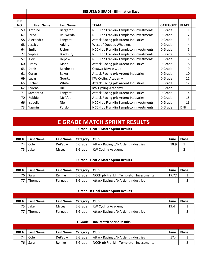# **TEMPO RACE RESULTS**

|                   |                             |                            | <b>RESULTS: A GRADE - Tempo Race</b>   |                 |                               |                               |                               |              |
|-------------------|-----------------------------|----------------------------|----------------------------------------|-----------------|-------------------------------|-------------------------------|-------------------------------|--------------|
|                   |                             |                            | 7.5 km / 30 Laps                       |                 |                               |                               |                               |              |
| <b>Bib</b><br>No. | <b>FIRST</b><br><b>NAME</b> | <b>LAST</b><br><b>NAME</b> | <b>TEAM</b>                            | <b>CATEGORY</b> | <b>POINTS</b><br><b>COUNT</b> | <b>TOTAL</b><br><b>POINTS</b> | <b>FINISH</b><br><b>ORDER</b> | <b>PLACE</b> |
| 10                | Levi                        | Ogryzlo                    | Cyclepath Oakville Race Team           | A Grade         | 1, 1, 1, 1, 1, 1, 1,          | $\overline{7}$                | 11                            | 1            |
| 12                | Michael                     | Leonard                    | Racer Sportif / Mattamy Homes          | A Grade         | 1, 1, 1, 1, 1                 | 5                             | 1                             | 2            |
| $\overline{2}$    | Carson                      | Mattern                    | NCCH pb Franklin Templeton Investments | A Grade         | 1, 1, 1, 1, 1,                | 5                             | 4                             | 3            |
| 17                | Wesley                      | Hill                       | <b>KW Cycling Academy</b>              | A Grade         | 1,1,1,                        | 3                             | 16                            | 4            |
| 9                 | Jack                        | Sirman                     | NCCH Elite pb MGCC                     | A Grade         | 1, 1, 1,                      | 3                             | 17                            | 5            |
| 11                | Liam                        | Langford                   | <b>KW Cycling Academy</b>              | A Grade         | 1,                            | 1                             | 10                            | 6            |
| $\overline{7}$    | Gregory                     | Cuff                       | NCCH pb Franklin Templeton Investments | A Grade         | 1,                            | 1                             | 12                            | 7            |
| 5                 | Evan                        | Szemeczko                  | Milton Revolution Cycling Club         | A Grade         |                               |                               | 2                             | 8            |
| 1                 | Calum                       | Sutherland                 | Attack Racing p/b Ardent Industries    | A Grade         |                               |                               | 3                             | 9            |
| 14                | Orian                       | Falk-Dotan                 | Attack Racing p/b Ardent Industries    | A Grade         |                               |                               | 5                             | 10           |
| 6                 | Finlay                      | MacEwen                    | Attack Racing p/b Ardent Industries    | A Grade         |                               |                               | $\overline{7}$                | 11           |
| 3                 | Charles                     | Bergeron                   | NCCH pb Franklin Templeton Investments | A Grade         |                               |                               | 8                             | 12           |
| 4                 | Ethan                       | Belanger                   | NCCH pb Franklin Templeton Investments | A Grade         |                               |                               | 9                             | 13           |
| 13                | <b>Nicholas</b>             | Menegon                    | NCCH pb Franklin Templeton Investments | A Grade         |                               |                               | 13                            | 14           |
| 8                 | lan                         | Reinke                     | NCCH pb Franklin Templeton Investments | A Grade         |                               |                               | 14                            | 15           |
| 15                | Owen                        | Gill                       | Madonna Wheelers Cycling Club          | A Grade         |                               |                               | <b>DNF</b>                    | <b>DNF</b>   |
| 16                | Rich                        | Elliott                    | NCCH Elite pb MGCC                     | A Grade         |                               |                               | <b>DNS</b>                    | <b>DNS</b>   |

#### **RESULTS: A GRADE - Tempo Race**

|                   | <b>RESULTS: B GRADE - Tempo Race</b> |                  |                                        |                 |                               |                               |                               |                |  |  |  |
|-------------------|--------------------------------------|------------------|----------------------------------------|-----------------|-------------------------------|-------------------------------|-------------------------------|----------------|--|--|--|
|                   |                                      |                  | 5 km / 20 Laps                         |                 |                               |                               |                               |                |  |  |  |
| <b>Bib</b><br>No. | <b>FIRST</b><br><b>NAME</b>          | <b>LAST NAME</b> | <b>TEAM</b>                            | <b>CATEGORY</b> | <b>POINTS</b><br><b>COUNT</b> | <b>TOTAL</b><br><b>POINTS</b> | <b>FINISH</b><br><b>ORDER</b> | <b>PLACE</b>   |  |  |  |
| 28                | Luke                                 | Valenti          | Hardwood Next Wave Cycling Team        | <b>B</b> Grade  | 1, 1, 1, 1                    | 4                             | 12                            | 1              |  |  |  |
| 34                | Nikita                               | Neyshtadt        | NCCH pb Franklin Templeton Investments | <b>B</b> Grade  | 1, 1, 1, 1,                   | 4                             | 14                            | $\overline{2}$ |  |  |  |
| 33                | Nicole                               | Bradbury         | NCCH pb Franklin Templeton Investments | <b>B</b> Grade  | 1,1,                          | $\overline{2}$                | 3                             | 3              |  |  |  |
| 35                | Reilly                               | Pargeter         | Attack Racing p/b Ardent Industries    | <b>B</b> Grade  | $\mathbf{1}$                  | 1                             | $\mathbf{1}$                  | 4              |  |  |  |
| 23                | Cole                                 | Dempster         | Midweek Cycling Club                   | <b>B</b> Grade  | 1,                            | 1                             | 17                            | 5              |  |  |  |
| 24                | Dylan                                | Baker            | Attack Racing p/b Ardent Industries    | <b>B</b> Grade  |                               | $-10$                         | 15                            |                |  |  |  |
| 29                | Lewis                                | Kopchak          | The Velo Shop                          | <b>B</b> Grade  |                               | $-10$                         | 16                            |                |  |  |  |
| 25                | Emmannuel                            | Cheff            | Ottawa Bicycle Club                    | <b>B</b> Grade  | 1, 1, 1,                      | $-27$                         | 5.                            |                |  |  |  |
| 18                | Aderyn                               | Fraser           | Midweek Cycling Club                   | <b>B</b> Grade  |                               |                               | 14                            |                |  |  |  |
| 20                | Andres                               | Elliott-Cordoba  | Neworld Cycle Team                     | <b>B</b> Grade  |                               |                               | 2                             |                |  |  |  |
| 21                | Andrew                               | Ellyatt          | Attack Racing p/b Ardent Industries    | <b>B</b> Grade  |                               |                               | 8                             |                |  |  |  |
| 22                | Cohen                                | Wood             | NCCH pb Franklin Templeton Investments | <b>B</b> Grade  |                               |                               | 18                            |                |  |  |  |
| 26                | Graham                               | <b>Starrs</b>    | Attack Racing p/b Ardent Industries    | <b>B</b> Grade  |                               |                               | 9                             |                |  |  |  |
| 27                | Lucas                                | Rauwerda         | NCCH pb Franklin Templeton Investments | <b>B</b> Grade  |                               |                               | $\overline{7}$                |                |  |  |  |
| 30                | Mathis                               | Hamel            | Vélo Mauricie                          | <b>B</b> Grade  |                               |                               | 15                            |                |  |  |  |
| 31                | Matthew                              | Whitehouse       | Milton Revolution Cycling Club         | <b>B</b> Grade  |                               |                               | 6                             |                |  |  |  |
| 32                | Natasha                              | Badertscher      | NCCH pb Franklin Templeton Investments | <b>B</b> Grade  |                               |                               | 4                             |                |  |  |  |
| 36                | Simon                                | Hunter           | Milton Revolution Cycling Club         | <b>B</b> Grade  |                               |                               | 19                            |                |  |  |  |
| 37                | Will                                 | Austen           | Attack Racing p/b Ardent Industries    | <b>B</b> Grade  |                               |                               | 13                            |                |  |  |  |
| 38                | Yonatan                              | Neyshtadt        | NCCH pb Franklin Templeton Investments | <b>B</b> Grade  |                               |                               | 11                            |                |  |  |  |
| 56                | William                              | <b>Bibic</b>     | Midweek Cycling Club                   | <b>B</b> Grade  |                               |                               | 10                            |                |  |  |  |
| 19                | Alejandra                            | Elliott-Cordoba  | Neworld Cycle Team                     | <b>B</b> Grade  |                               |                               | <b>DNF</b>                    | <b>DNF</b>     |  |  |  |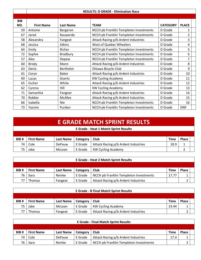|            | <b>RESULTS: C GRADE - Tempo Race</b> |                     |                                        |                 |                               |                     |                |  |  |  |  |
|------------|--------------------------------------|---------------------|----------------------------------------|-----------------|-------------------------------|---------------------|----------------|--|--|--|--|
|            |                                      |                     | 5 km / 20 Laps                         |                 |                               |                     |                |  |  |  |  |
| Bib<br>No. | <b>FIRST</b><br><b>NAME</b>          | <b>LAST NAME</b>    | <b>TEAM</b>                            | <b>CATEGORY</b> | <b>TOTAL</b><br><b>POINTS</b> | <b>FINISH ORDER</b> | <b>PLACE</b>   |  |  |  |  |
| 54         | Simon                                | Zouev               | Win Cycling Centre                     | C Grade         |                               | 1                   | 5              |  |  |  |  |
| 50         | Joshua                               | Cooper              | Attack Racing p/b Ardent Industries    | C Grade         |                               | 2                   | 7              |  |  |  |  |
| 51         | Luca                                 | <b>Buhlmann</b>     | Independent                            | C Grade         | 6                             | 3                   | 1              |  |  |  |  |
| 52         | Mackenzie                            | Watson              | Midweek Cycling Club                   | C Grade         | 2                             | 4                   | 3              |  |  |  |  |
| 47         | Emily                                | Dodge               | <b>KW Cycling Academy</b>              | C Grade         | 1                             | 5                   | 4              |  |  |  |  |
| 45         | Conan                                | Shing               | NCCH pb Franklin Templeton Investments | C Grade         | $\overline{2}$                | 6                   | 4              |  |  |  |  |
| 44         | Charlotte                            | Nelson              | Midweek Cycling Club                   | C Grade         |                               | 7                   | 8              |  |  |  |  |
| 53         | Nathan                               | Martin              | NCCH pb Franklin Templeton Investments | C Grade         | 3                             | 8                   | $\overline{2}$ |  |  |  |  |
| 41         | Ayden                                | Ireland             | Attack Racing p/b Ardent Industries    | C Grade         |                               | 9                   | 9              |  |  |  |  |
| 48         | Isabella                             | Stavropoulos        | NCCH pb Franklin Templeton Investments | C Grade         |                               | 10                  | 10             |  |  |  |  |
| 42         | Benen                                | MacEwen             | Attack Racing p/b Ardent Industries    | C Grade         |                               | 11                  | 11             |  |  |  |  |
| 39         | Alex                                 | DePauw              | Attack Racing p/b Ardent Industries    | C Grade         |                               | 12                  | 12             |  |  |  |  |
| 40         | Ariane                               | Arsenault           | Les cuisses or de l'Outatouais         | C Grade         |                               | 13                  | 13             |  |  |  |  |
| 49         | Jessica                              | Kaake               | Midweek Cycling Club                   | C Grade         |                               | 14                  | 14             |  |  |  |  |
| 43         | Caitlin                              | Serafino            | Milton Revolution Cycling Club         | C Grade         |                               | 15                  | 15             |  |  |  |  |
| 46         | Connor                               | Hogan               | <b>KW Cycling Academy</b>              | C Grade         |                               | 16                  | 16             |  |  |  |  |
| 55         | Stefano                              | Fiore - Seganfreddo | NCCH pb Franklin Templeton Investments | C Grade         |                               |                     | <b>DNS</b>     |  |  |  |  |

|                   | RESULTS: D GRADE - Tempo Race |                            |                                        |                 |                               |                     |                |  |  |  |  |
|-------------------|-------------------------------|----------------------------|----------------------------------------|-----------------|-------------------------------|---------------------|----------------|--|--|--|--|
|                   |                               |                            | 3 km /12 Laps                          |                 |                               |                     |                |  |  |  |  |
| <b>Bib</b><br>No. | <b>FIRST</b><br><b>NAME</b>   | <b>LAST</b><br><b>NAME</b> | <b>TEAM</b>                            | <b>CATEGORY</b> | <b>TOTAL</b><br><b>POINTS</b> | <b>FINISH ORDER</b> | <b>PLACE</b>   |  |  |  |  |
| 59                | Antoine                       | Bergeron                   | NCCH pb Franklin Templeton Investments | D Grade         | 3                             | 2                   | $\mathbf{1}$   |  |  |  |  |
| 68                | Jessica                       | <b>Atkins</b>              | West of Quebec Wheelers                | D Grade         | 3                             | 12                  | $\overline{2}$ |  |  |  |  |
| 58                | Alexandra                     | Fangeat                    | Attack Racing p/b Ardent Industries    | D Grade         | 1                             | 3                   | 3              |  |  |  |  |
| 69                | Lucas                         | Goertz                     | <b>KW Cycling Academy</b>              | D Grade         | 1                             | 6                   | 4              |  |  |  |  |
| 57                | Alex                          | Depew                      | NCCH pb Franklin Templeton Investments | D Grade         | 1                             | 11                  | 5              |  |  |  |  |
| 60                | Brody                         | Mann                       | Attack Racing p/b Ardent Industries    | D Grade         |                               | 4                   |                |  |  |  |  |
| 61                | Coryn                         | Baker                      | Attack Racing p/b Ardent Industries    | D Grade         |                               | 13                  |                |  |  |  |  |
| 62                | Cyrena                        | Hill                       | <b>KW Cycling Academy</b>              | D Grade         |                               | 9                   |                |  |  |  |  |
| 63                | Denis                         | <b>Berthelot</b>           | Ottawa Bicycle Club                    | D Grade         |                               | 8                   |                |  |  |  |  |
| 64                | Emily                         | Richer                     | NCCH pb Franklin Templeton Investments | D Grade         |                               | 16                  |                |  |  |  |  |
| 65                | Escher                        | White                      | Attack Racing p/b Ardent Industries    | D Grade         |                               | 7                   |                |  |  |  |  |
| 66                | Isabella                      | <b>Nie</b>                 | NCCH pb Franklin Templeton Investments | D Grade         |                               | 10                  |                |  |  |  |  |
| 67                | Jared                         | Rauwerda                   | NCCH pb Franklin Templeton Investments | D Grade         |                               | 1                   |                |  |  |  |  |
| 70                | Robbie                        | McAfee                     | Attack Racing p/b Ardent Industries    | D Grade         |                               | 17                  |                |  |  |  |  |
| 71                | Samantha                      | Fangeat                    | Attack Racing p/b Ardent Industries    | D Grade         |                               | 15                  |                |  |  |  |  |
| 72                | Sophie                        | <b>Bradbury</b>            | NCCH pb Franklin Templeton Investments | D Grade         |                               | 14                  |                |  |  |  |  |
| 73                | Yazmin                        | Purdon                     | NCCH pb Franklin Templeton Investments | D Grade         |                               | 5                   |                |  |  |  |  |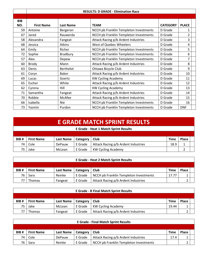#### **E GRADE KILO RESULTS**

|            |              |               | <b>RESULTS: E GRADE - STANDING KILO</b> |                 |         |              |
|------------|--------------|---------------|-----------------------------------------|-----------------|---------|--------------|
|            |              |               | <b>1 KM / 4 LAPS</b>                    |                 |         |              |
| <b>Bib</b> | <b>FIRST</b> | <b>LAST</b>   |                                         |                 |         |              |
| No.        | <b>NAME</b>  | <b>NAME</b>   | <b>TEAM</b>                             | <b>CATEGORY</b> | time    | <b>PLACE</b> |
| 74         | Cole         | <b>DePauw</b> | Attack Racing p/b Ardent Industries     | E Grade         | 1:40:27 |              |
| 76         | Sara         | Reinke        | NCCH pb Franklin Templeton Investments  | E Grade         | 1:41:14 | 2            |
| 77         | Thomas       | Fangeat       | Attack Racing p/b Ardent Industries     | E Grade         | 1:48:17 |              |
| 75         | Jake         | McLean        | <b>KW Cycling Academy</b>               | E Grade         | 1:51:62 | 4            |

## **PARA KILO RESULTS**

| BIB# | <b>First Name</b> | <b>Last Name</b> | Sex    | Category           | Team                 | <b>Time</b> | Place |
|------|-------------------|------------------|--------|--------------------|----------------------|-------------|-------|
| 79   | Megan             | Miller           | Female | Para-Athlete Women | School for the Blind | 1:21:37     |       |
| 80   | Tessa             | Rankin           | Female | Para-Athlete Women | School for the Blind | 1:23:13     |       |
| 78 - | Ashlyn            | Eddy             | Female | Para-Athlete Women | Midweek Cycling Club | 1:28:21     |       |

| BIB# | <b>First Name</b> | Last Name      | Sex  | Category         | Team                 | Time    | Place |
|------|-------------------|----------------|------|------------------|----------------------|---------|-------|
| 83   | Matthieu          | Croteau-Daigle | Male | Para-Athlete Men | Martin Swiss Cycles  | 1:07:83 |       |
| 82   | Fatlum            | Elshani        | Male | Para-Athlete Men | School for the Blind | 1:18:99 |       |

## **PARA MATCH SPRINT RESULTS**

| <b>Flying 200m/Match Sprint Qualifiers</b> |              |                  |            |                    |                      |             |       |  |  |  |
|--------------------------------------------|--------------|------------------|------------|--------------------|----------------------|-------------|-------|--|--|--|
|                                            |              |                  |            |                    |                      |             |       |  |  |  |
|                                            | <b>First</b> |                  |            |                    |                      |             |       |  |  |  |
| BIB#                                       | <b>Name</b>  | <b>Last Name</b> | <b>Sex</b> | Category           | Club                 | <b>Time</b> | Place |  |  |  |
| 79                                         | Megan        | Miller           | Female     | Para-Athlete Women | School for the Blind | 13:28       |       |  |  |  |
| 80                                         | Tessa        | Rankin           | Female     | Para-Athlete Women | School for the Blind | 14:03       |       |  |  |  |
| 78                                         | Ashlyn       | Eddy             | Female     | Para-Athlete Women | Midweek Cycling Club | 14:44       | 3     |  |  |  |

|      | <b>First</b> |                |            |                  |                            |       |       |
|------|--------------|----------------|------------|------------------|----------------------------|-------|-------|
| BIB# | <b>Name</b>  | Last Name      | <b>Sex</b> | Category         | Club                       | Time  | Place |
| 83   | Matthieu     | Croteau-Daigle | Male       | Para-Athlete Men | <b>Martin Swiss Cycles</b> | 11:41 |       |
| 82   | Fatlum       | Elshani        | Male       | Para-Athlete Men | School for the Blind       | 12:98 |       |